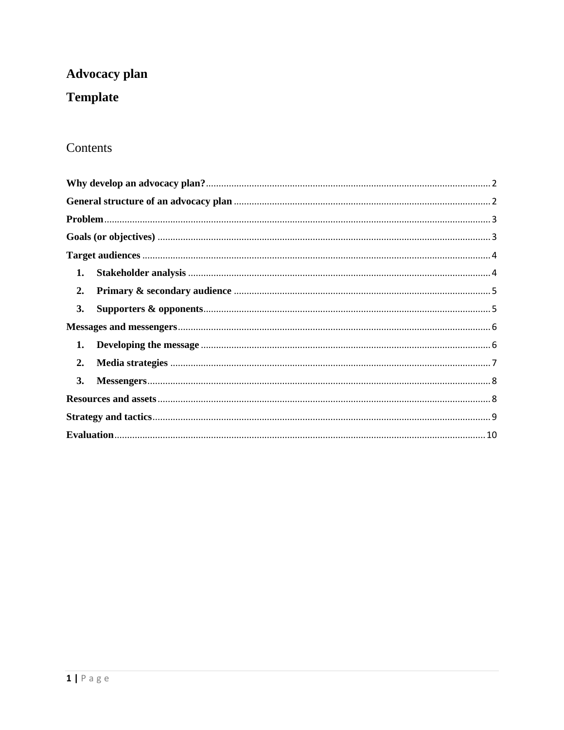# **Advocacy plan**

# **Template**

## Contents

| 1. |
|----|
| 2. |
| 3. |
|    |
|    |
| 2. |
| 3. |
|    |
|    |
|    |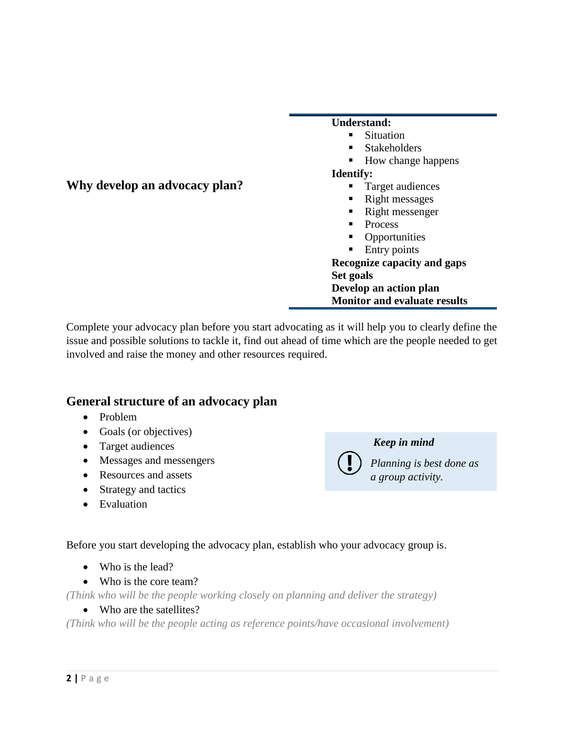<span id="page-1-0"></span>

|                               | <b>Understand:</b>                  |  |
|-------------------------------|-------------------------------------|--|
|                               | <b>Situation</b>                    |  |
|                               | <b>Stakeholders</b><br>п.           |  |
|                               | • How change happens                |  |
|                               | <b>Identify:</b>                    |  |
| Why develop an advocacy plan? | Target audiences<br>ш               |  |
|                               | Right messages<br>٠                 |  |
|                               | Right messenger<br>ш                |  |
|                               | Process<br>٠                        |  |
|                               | Opportunities<br>ш                  |  |
|                               | Entry points<br>п                   |  |
|                               | Recognize capacity and gaps         |  |
|                               | Set goals                           |  |
|                               | Develop an action plan              |  |
|                               | <b>Monitor and evaluate results</b> |  |

Complete your advocacy plan before you start advocating as it will help you to clearly define the issue and possible solutions to tackle it, find out ahead of time which are the people needed to get involved and raise the money and other resources required.

## <span id="page-1-1"></span>**General structure of an advocacy plan**

- Problem
- Goals (or objectives)
- Target audiences
- Messages and messengers
- Resources and assets
- Strategy and tactics
- Evaluation

*Keep in mind* 

*Planning is best done as a group activity.*

Before you start developing the advocacy plan, establish who your advocacy group is.

- Who is the lead?
- Who is the core team?

*(Think who will be the people working closely on planning and deliver the strategy)*

• Who are the satellites?

*(Think who will be the people acting as reference points/have occasional involvement)*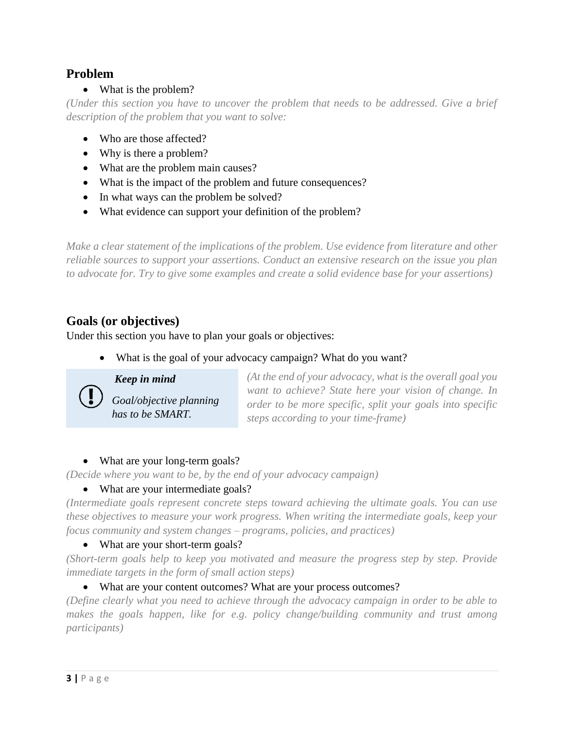## <span id="page-2-0"></span>**Problem**

## • What is the problem?

*(Under this section you have to uncover the problem that needs to be addressed. Give a brief description of the problem that you want to solve:*

- Who are those affected?
- Why is there a problem?
- What are the problem main causes?
- What is the impact of the problem and future consequences?
- In what ways can the problem be solved?
- What evidence can support your definition of the problem?

*Make a clear statement of the implications of the problem. Use evidence from literature and other reliable sources to support your assertions. Conduct an extensive research on the issue you plan to advocate for. Try to give some examples and create a solid evidence base for your assertions)*

## <span id="page-2-1"></span>**Goals (or objectives)**

Under this section you have to plan your goals or objectives:

What is the goal of your advocacy campaign? What do you want?

*Keep in mind* 

*Goal/objective planning has to be SMART.* 

*(At the end of your advocacy, what is the overall goal you want to achieve? State here your vision of change. In order to be more specific, split your goals into specific steps according to your time-frame)*

## • What are your long-term goals?

*(Decide where you want to be, by the end of your advocacy campaign)*

## • What are your intermediate goals?

*(Intermediate goals represent concrete steps toward achieving the ultimate goals. You can use these objectives to measure your work progress. When writing the intermediate goals, keep your focus community and system changes – programs, policies, and practices)*

## • What are your short-term goals?

*(Short-term goals help to keep you motivated and measure the progress step by step. Provide immediate targets in the form of small action steps)*

## What are your content outcomes? What are your process outcomes?

*(Define clearly what you need to achieve through the advocacy campaign in order to be able to makes the goals happen, like for e.g. policy change/building community and trust among participants)*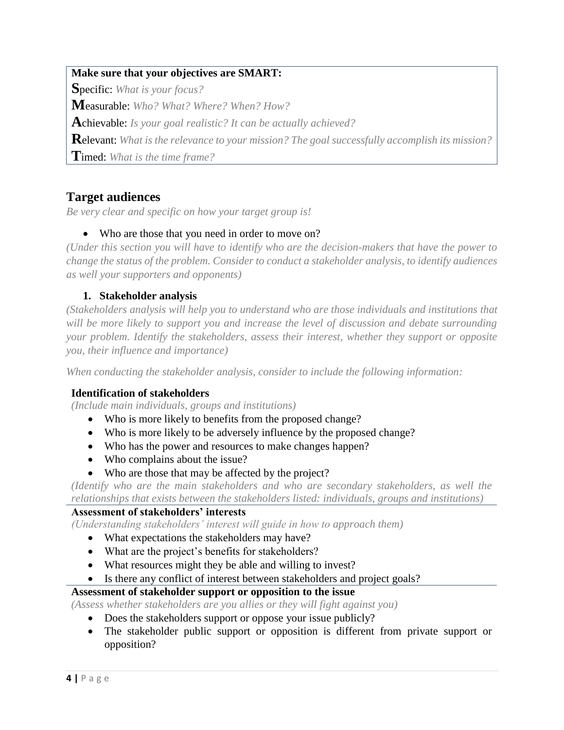## **Make sure that your objectives are SMART:**

**S**pecific: *What is your focus?*

**M**easurable: *Who? What? Where? When? How?*

**A**chievable: *Is your goal realistic? It can be actually achieved?*

**R**elevant: *What is the relevance to your mission? The goal successfully accomplish its mission?*

**T**imed: *What is the time frame?*

## <span id="page-3-0"></span>**Target audiences**

*Be very clear and specific on how your target group is!*

## • Who are those that you need in order to move on?

*(Under this section you will have to identify who are the decision-makers that have the power to change the status of the problem. Consider to conduct a stakeholder analysis, to identify audiences as well your supporters and opponents)*

## **1. Stakeholder analysis**

<span id="page-3-1"></span>*(Stakeholders analysis will help you to understand who are those individuals and institutions that will be more likely to support you and increase the level of discussion and debate surrounding your problem. Identify the stakeholders, assess their interest, whether they support or opposite you, their influence and importance)*

*When conducting the stakeholder analysis, consider to include the following information:*

### **Identification of stakeholders**

*(Include main individuals, groups and institutions)*

- Who is more likely to benefits from the proposed change?
- Who is more likely to be adversely influence by the proposed change?
- Who has the power and resources to make changes happen?
- Who complains about the issue?
- Who are those that may be affected by the project?

*(Identify who are the main stakeholders and who are secondary stakeholders, as well the relationships that exists between the stakeholders listed: individuals, groups and institutions)*

## **Assessment of stakeholders' interests**

*(Understanding stakeholders' interest will guide in how to approach them)*

- What expectations the stakeholders may have?
- What are the project's benefits for stakeholders?
- What resources might they be able and willing to invest?
- Is there any conflict of interest between stakeholders and project goals?

### **Assessment of stakeholder support or opposition to the issue**

*(Assess whether stakeholders are you allies or they will fight against you)*

- Does the stakeholders support or oppose your issue publicly?
- The stakeholder public support or opposition is different from private support or opposition?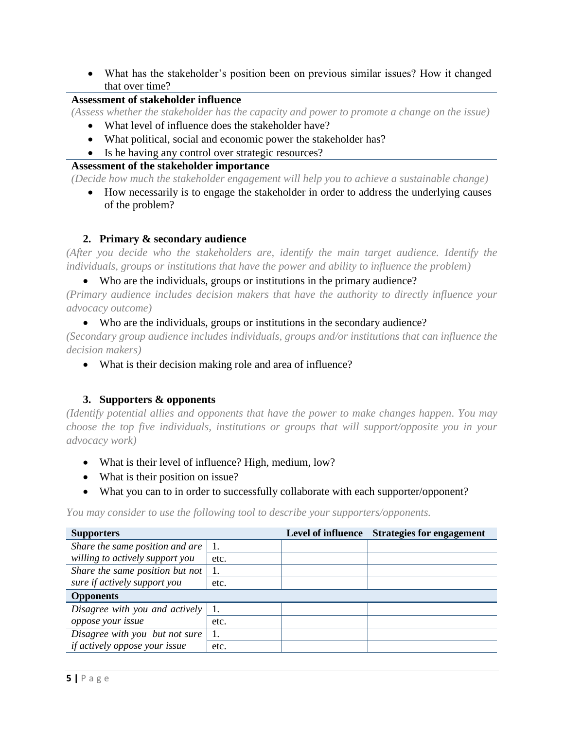What has the stakeholder's position been on previous similar issues? How it changed that over time?

## **Assessment of stakeholder influence**

*(Assess whether the stakeholder has the capacity and power to promote a change on the issue)*

- What level of influence does the stakeholder have?
- What political, social and economic power the stakeholder has?
- Is he having any control over strategic resources?

#### **Assessment of the stakeholder importance**

*(Decide how much the stakeholder engagement will help you to achieve a sustainable change)*

 How necessarily is to engage the stakeholder in order to address the underlying causes of the problem?

### **2. Primary & secondary audience**

<span id="page-4-0"></span>*(After you decide who the stakeholders are, identify the main target audience. Identify the individuals, groups or institutions that have the power and ability to influence the problem)*

Who are the individuals, groups or institutions in the primary audience?

*(Primary audience includes decision makers that have the authority to directly influence your advocacy outcome)*

#### Who are the individuals, groups or institutions in the secondary audience?

*(Secondary group audience includes individuals, groups and/or institutions that can influence the decision makers)*

What is their decision making role and area of influence?

### **3. Supporters & opponents**

<span id="page-4-1"></span>*(Identify potential allies and opponents that have the power to make changes happen. You may choose the top five individuals, institutions or groups that will support/opposite you in your advocacy work)*

- What is their level of influence? High, medium, low?
- What is their position on issue?
- What you can to in order to successfully collaborate with each supporter/opponent?

*You may consider to use the following tool to describe your supporters/opponents.*

| <b>Supporters</b>                    |      | <b>Level of influence</b> | <b>Strategies for engagement</b> |
|--------------------------------------|------|---------------------------|----------------------------------|
| Share the same position and are      |      |                           |                                  |
| willing to actively support you      | etc. |                           |                                  |
| Share the same position but not      |      |                           |                                  |
| sure if actively support you         | etc. |                           |                                  |
| <b>Opponents</b>                     |      |                           |                                  |
| Disagree with you and actively       |      |                           |                                  |
| oppose your issue                    | etc. |                           |                                  |
| Disagree with you but not sure       |      |                           |                                  |
| <i>if actively oppose your issue</i> | etc. |                           |                                  |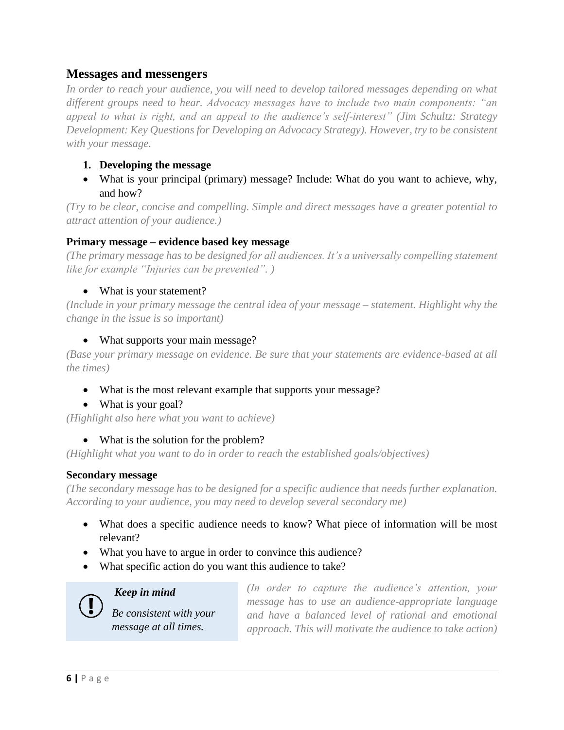## <span id="page-5-0"></span>**Messages and messengers**

*In order to reach your audience, you will need to develop tailored messages depending on what different groups need to hear. Advocacy messages have to include two main components: "an appeal to what is right, and an appeal to the audience's self-interest" (Jim Schultz: Strategy Development: Key Questions for Developing an Advocacy Strategy). However, try to be consistent with your message.* 

## <span id="page-5-1"></span>**1. Developing the message**

 What is your principal (primary) message? Include: What do you want to achieve, why, and how?

*(Try to be clear, concise and compelling. Simple and direct messages have a greater potential to attract attention of your audience.)*

### **Primary message – evidence based key message**

*(The primary message has to be designed for all audiences. It's a universally compelling statement like for example "Injuries can be prevented". )*

## • What is your statement?

*(Include in your primary message the central idea of your message – statement. Highlight why the change in the issue is so important)*

## • What supports your main message?

*(Base your primary message on evidence. Be sure that your statements are evidence-based at all the times)*

- What is the most relevant example that supports your message?
- What is your goal?

*(Highlight also here what you want to achieve)* 

### • What is the solution for the problem?

*(Highlight what you want to do in order to reach the established goals/objectives)*

### **Secondary message**

*(The secondary message has to be designed for a specific audience that needs further explanation. According to your audience, you may need to develop several secondary me)*

- What does a specific audience needs to know? What piece of information will be most relevant?
- What you have to argue in order to convince this audience?
- What specific action do you want this audience to take?

*Keep in mind* 

*Be consistent with your message at all times.* 

*(In order to capture the audience's attention, your message has to use an audience-appropriate language and have a balanced level of rational and emotional approach. This will motivate the audience to take action)*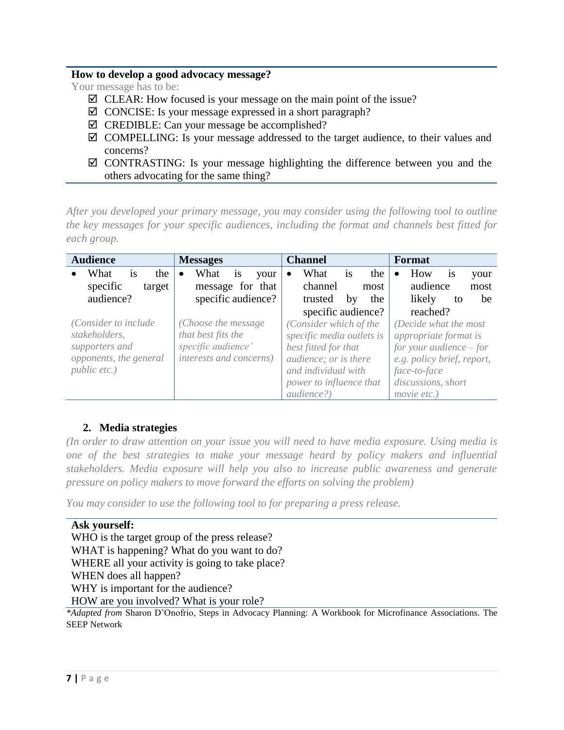#### **How to develop a good advocacy message?**

Your message has to be:

- $\boxtimes$  CLEAR: How focused is your message on the main point of the issue?
- $\boxtimes$  CONCISE: Is your message expressed in a short paragraph?
- $\boxtimes$  CREDIBLE: Can your message be accomplished?
- $\boxtimes$  COMPELLING: Is your message addressed to the target audience, to their values and concerns?
- $\boxtimes$  CONTRASTING: Is your message highlighting the difference between you and the others advocating for the same thing?

*After you developed your primary message, you may consider using the following tool to outline the key messages for your specific audiences, including the format and channels best fitted for each group.* 

| <b>Audience</b>          | <b>Messages</b>                | <b>Channel</b>               | Format                     |
|--------------------------|--------------------------------|------------------------------|----------------------------|
| What<br>the<br><i>is</i> | What<br>1S<br>your             | What<br>the<br><sup>is</sup> | How<br><b>1S</b><br>your   |
| specific<br>target       | message for that               | channel<br>most              | audience<br>most           |
| audience?                | specific audience?             | trusted<br>the<br>by         | likely<br>be<br>to         |
|                          |                                | specific audience?           | reached?                   |
| (Consider to include     | (Choose the message)           | (Consider which of the       | (Decide what the most      |
| stakeholders,            | that best fits the             | specific media outlets is    | appropriate format is      |
| supporters and           | specific audience'             | best fitted for that         | for your audience $-$ for  |
| opponents, the general   | <i>interests and concerns)</i> | audience; or is there        | e.g. policy brief, report, |
| <i>public etc.)</i>      |                                | and individual with          | face-to-face               |
|                          |                                | power to influence that      | discussions, short         |
|                          |                                | <i>audience?</i> )           | movie etc.)                |

## **2. Media strategies**

<span id="page-6-0"></span>*(In order to draw attention on your issue you will need to have media exposure. Using media is one of the best strategies to make your message heard by policy makers and influential stakeholders. Media exposure will help you also to increase public awareness and generate pressure on policy makers to move forward the efforts on solving the problem)*

*You may consider to use the following tool to for preparing a press release.*

```
Ask yourself:
 WHO is the target group of the press release?
 WHAT is happening? What do you want to do?
 WHERE all your activity is going to take place?
 WHEN does all happen?
 WHY is important for the audience?
 HOW are you involved? What is your role?
*Adapted from Sharon D'Onofrio, Steps in Advocacy Planning: A Workbook for Microfinance Associations. The 
SEEP Network
```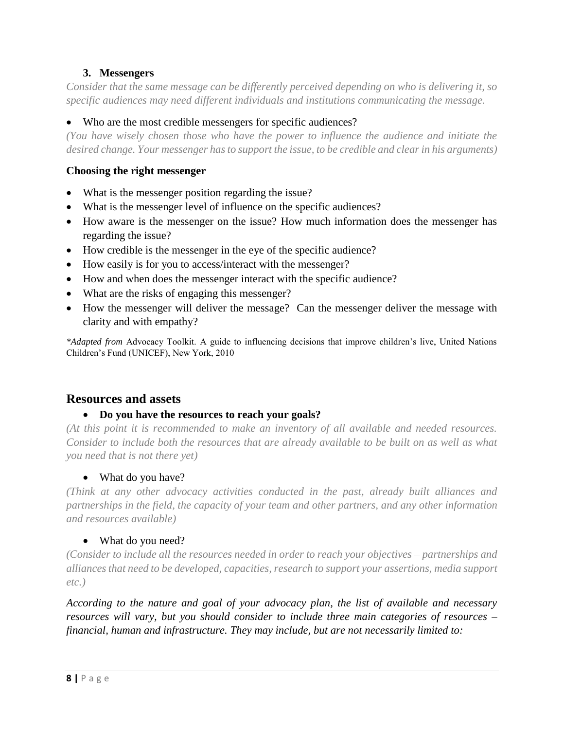## **3. Messengers**

<span id="page-7-0"></span>*Consider that the same message can be differently perceived depending on who is delivering it, so specific audiences may need different individuals and institutions communicating the message.*

Who are the most credible messengers for specific audiences?

*(You have wisely chosen those who have the power to influence the audience and initiate the desired change. Your messenger has to support the issue, to be credible and clear in his arguments)*

#### **Choosing the right messenger**

- What is the messenger position regarding the issue?
- What is the messenger level of influence on the specific audiences?
- How aware is the messenger on the issue? How much information does the messenger has regarding the issue?
- How credible is the messenger in the eye of the specific audience?
- How easily is for you to access/interact with the messenger?
- How and when does the messenger interact with the specific audience?
- What are the risks of engaging this messenger?
- How the messenger will deliver the message? Can the messenger deliver the message with clarity and with empathy?

*\*Adapted from* Advocacy Toolkit. A guide to influencing decisions that improve children's live, United Nations Children's Fund (UNICEF), New York, 2010

### <span id="page-7-1"></span>**Resources and assets**

#### **Do you have the resources to reach your goals?**

*(At this point it is recommended to make an inventory of all available and needed resources. Consider to include both the resources that are already available to be built on as well as what you need that is not there yet)*

#### • What do you have?

*(Think at any other advocacy activities conducted in the past, already built alliances and partnerships in the field, the capacity of your team and other partners, and any other information and resources available)*

#### • What do you need?

*(Consider to include all the resources needed in order to reach your objectives – partnerships and alliances that need to be developed, capacities, research to support your assertions, media support etc.)*

*According to the nature and goal of your advocacy plan, the list of available and necessary resources will vary, but you should consider to include three main categories of resources – financial, human and infrastructure. They may include, but are not necessarily limited to:*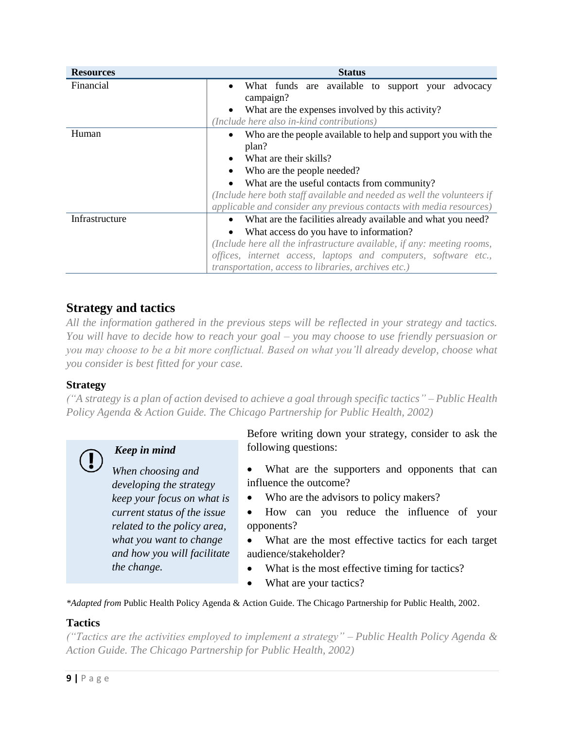| <b>Resources</b> | <b>Status</b>                                                              |  |  |
|------------------|----------------------------------------------------------------------------|--|--|
| Financial        | What funds are available to support your<br>advocacy<br>$\bullet$          |  |  |
|                  | campaign?                                                                  |  |  |
|                  | What are the expenses involved by this activity?                           |  |  |
|                  | (Include here also in-kind contributions)                                  |  |  |
| Human            | Who are the people available to help and support you with the<br>$\bullet$ |  |  |
|                  | plan?                                                                      |  |  |
|                  | What are their skills?                                                     |  |  |
|                  | Who are the people needed?                                                 |  |  |
|                  | What are the useful contacts from community?                               |  |  |
|                  | (Include here both staff available and needed as well the volunteers if    |  |  |
|                  | applicable and consider any previous contacts with media resources)        |  |  |
| Infrastructure   | What are the facilities already available and what you need?<br>$\bullet$  |  |  |
|                  | What access do you have to information?                                    |  |  |
|                  | (Include here all the infrastructure available, if any: meeting rooms,     |  |  |
|                  | offices, internet access, laptops and computers, software etc.,            |  |  |
|                  | <i>transportation, access to libraries, archives etc.)</i>                 |  |  |

## <span id="page-8-0"></span>**Strategy and tactics**

*All the information gathered in the previous steps will be reflected in your strategy and tactics. You will have to decide how to reach your goal – you may choose to use friendly persuasion or you may choose to be a bit more conflictual. Based on what you'll already develop, choose what you consider is best fitted for your case.* 

## **Strategy**

*("A strategy is a plan of action devised to achieve a goal through specific tactics" – Public Health Policy Agenda & Action Guide. The Chicago Partnership for Public Health, 2002)*



## *Keep in mind*

*When choosing and developing the strategy keep your focus on what is current status of the issue related to the policy area, what you want to change and how you will facilitate the change.* 

Before writing down your strategy, consider to ask the following questions:

- What are the supporters and opponents that can influence the outcome?
- Who are the advisors to policy makers?
- How can you reduce the influence of your opponents?
- What are the most effective tactics for each target audience/stakeholder?
- What is the most effective timing for tactics?
- What are your tactics?

*\*Adapted from* Public Health Policy Agenda & Action Guide. The Chicago Partnership for Public Health, 2002.

### **Tactics**

*("Tactics are the activities employed to implement a strategy" – Public Health Policy Agenda & Action Guide. The Chicago Partnership for Public Health, 2002)*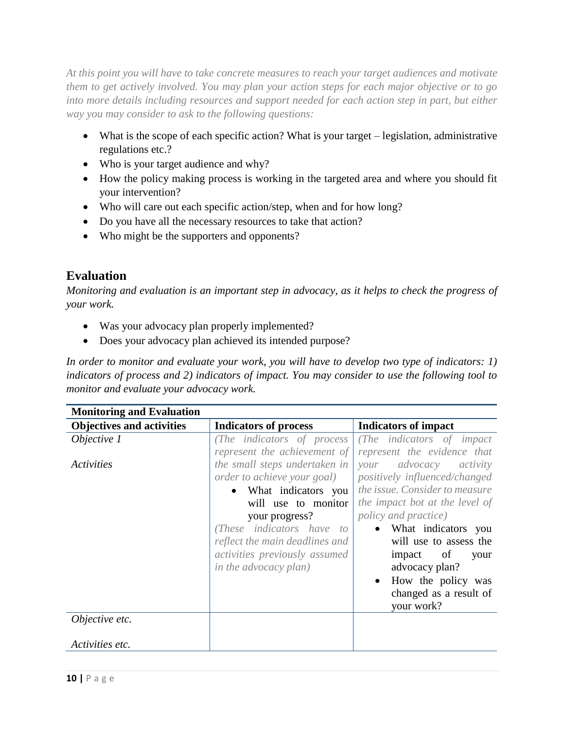*At this point you will have to take concrete measures to reach your target audiences and motivate them to get actively involved. You may plan your action steps for each major objective or to go into more details including resources and support needed for each action step in part, but either way you may consider to ask to the following questions:*

- What is the scope of each specific action? What is your target legislation, administrative regulations etc.?
- Who is your target audience and why?
- How the policy making process is working in the targeted area and where you should fit your intervention?
- Who will care out each specific action/step, when and for how long?
- Do you have all the necessary resources to take that action?
- Who might be the supporters and opponents?

## <span id="page-9-0"></span>**Evaluation**

*Monitoring and evaluation is an important step in advocacy, as it helps to check the progress of your work.* 

- Was your advocacy plan properly implemented?
- Does your advocacy plan achieved its intended purpose?

*In order to monitor and evaluate your work, you will have to develop two type of indicators: 1) indicators of process and 2) indicators of impact. You may consider to use the following tool to monitor and evaluate your advocacy work.*

| <b>Monitoring and Evaluation</b> |                                |                                |
|----------------------------------|--------------------------------|--------------------------------|
| <b>Objectives and activities</b> | <b>Indicators of process</b>   | <b>Indicators of impact</b>    |
| Objective 1                      | The indicators of process      | (The indicators of impact)     |
|                                  | represent the achievement of   | represent the evidence that    |
| Activities                       | the small steps undertaken in  | advocacy<br>activity<br>your   |
|                                  | order to achieve your goal)    | positively influenced/changed  |
|                                  | • What indicators you          | the issue. Consider to measure |
|                                  | will use to monitor            | the impact bot at the level of |
|                                  | your progress?                 | <i>policy and practice</i> )   |
|                                  | These indicators have to       | What indicators you            |
|                                  | reflect the main deadlines and | will use to assess the         |
|                                  | activities previously assumed  | impact of<br>your              |
|                                  | <i>in the advocacy plan)</i>   | advocacy plan?                 |
|                                  |                                | How the policy was             |
|                                  |                                | changed as a result of         |
|                                  |                                | your work?                     |
| Objective etc.                   |                                |                                |
|                                  |                                |                                |
| Activities etc.                  |                                |                                |